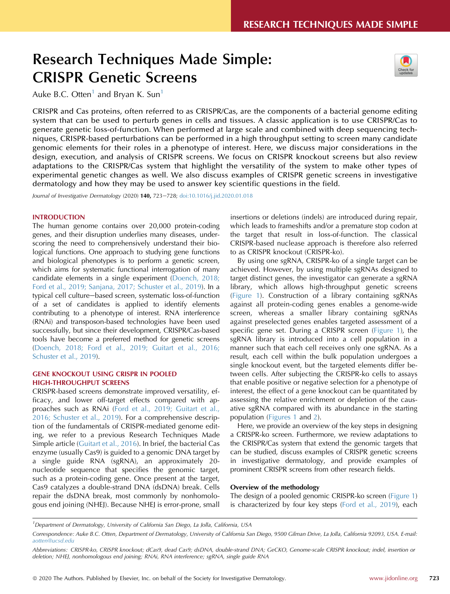# Research Techniques Made Simple: CRISPR Genetic Screens



Auke B.C. Otten<sup>[1](#page-0-0)</sup> and Bryan K. Sun<sup>1</sup>

CRISPR and Cas proteins, often referred to as CRISPR/Cas, are the components of a bacterial genome editing system that can be used to perturb genes in cells and tissues. A classic application is to use CRISPR/Cas to generate genetic loss-of-function. When performed at large scale and combined with deep sequencing techniques, CRISPR-based perturbations can be performed in a high throughput setting to screen many candidate genomic elements for their roles in a phenotype of interest. Here, we discuss major considerations in the design, execution, and analysis of CRISPR screens. We focus on CRISPR knockout screens but also review adaptations to the CRISPR/Cas system that highlight the versatility of the system to make other types of experimental genetic changes as well. We also discuss examples of CRISPR genetic screens in investigative dermatology and how they may be used to answer key scientific questions in the field.

Journal of Investigative Dermatology (2020) 140, 723-728; [doi:10.1016/j.jid.2020.01.018](https://doi.org/10.1016/j.jid.2020.01.018)

#### INTRODUCTION

The human genome contains over 20,000 protein-coding genes, and their disruption underlies many diseases, underscoring the need to comprehensively understand their biological functions. One approach to studying gene functions and biological phenotypes is to perform a genetic screen, which aims for systematic functional interrogation of many candidate elements in a single experiment [\(Doench, 2018;](#page-5-0) [Ford et al., 2019; Sanjana, 2017; Schuster et al., 2019\)](#page-5-0). In a typical cell culture-based screen, systematic loss-of-function of a set of candidates is applied to identify elements contributing to a phenotype of interest. RNA interference (RNAi) and transposon-based technologies have been used successfully, but since their development, CRISPR/Cas-based tools have become a preferred method for genetic screens [\(Doench, 2018; Ford et al., 2019; Guitart et al., 2016;](#page-5-0) [Schuster et al., 2019\)](#page-5-0).

#### GENE KNOCKOUT USING CRISPR IN POOLED HIGH-THROUGHPUT SCREENS

CRISPR-based screens demonstrate improved versatility, efficacy, and lower off-target effects compared with approaches such as RNAi ([Ford et al., 2019; Guitart et al.,](#page-5-1) [2016; Schuster et al., 2019\)](#page-5-1). For a comprehensive description of the fundamentals of CRISPR-mediated genome editing, we refer to a previous Research Techniques Made Simple article ([Guitart et al., 2016\)](#page-5-2). In brief, the bacterial Cas enzyme (usually Cas9) is guided to a genomic DNA target by a single guide RNA (sgRNA), an approximately 20 nucleotide sequence that specifies the genomic target, such as a protein-coding gene. Once present at the target, Cas9 catalyzes a double-strand DNA (dsDNA) break. Cells repair the dsDNA break, most commonly by nonhomologous end joining (NHEJ). Because NHEJ is error-prone, small

insertions or deletions (indels) are introduced during repair, which leads to frameshifts and/or a premature stop codon at the target that result in loss-of-function. The classical CRISPR-based nuclease approach is therefore also referred to as CRISPR knockout (CRISPR-ko).

By using one sgRNA, CRISPR-ko of a single target can be achieved. However, by using multiple sgRNAs designed to target distinct genes, the investigator can generate a sgRNA library, which allows high-throughput genetic screens ([Figure 1](#page-2-0)). Construction of a library containing sgRNAs against all protein-coding genes enables a genome-wide screen, whereas a smaller library containing sgRNAs against preselected genes enables targeted assessment of a specific gene set. During a CRISPR screen [\(Figure 1\)](#page-2-0), the sgRNA library is introduced into a cell population in a manner such that each cell receives only one sgRNA. As a result, each cell within the bulk population undergoes a single knockout event, but the targeted elements differ between cells. After subjecting the CRISPR-ko cells to assays that enable positive or negative selection for a phenotype of interest, the effect of a gene knockout can be quantitated by assessing the relative enrichment or depletion of the causative sgRNA compared with its abundance in the starting population [\(Figures 1](#page-2-0) and [2](#page-3-0)).

Here, we provide an overview of the key steps in designing a CRISPR-ko screen. Furthermore, we review adaptations to the CRISPR/Cas system that extend the genomic targets that can be studied, discuss examples of CRISPR genetic screens in investigative dermatology, and provide examples of prominent CRISPR screens from other research fields.

### Overview of the methodology

The design of a pooled genomic CRISPR-ko screen [\(Figure 1](#page-2-0)) is characterized by four key steps ([Ford et al., 2019](#page-5-1)), each

<span id="page-0-0"></span><sup>&</sup>lt;sup>1</sup>Department of Dermatology, University of California San Diego, La Jolla, California, USA

Correspondence: Auke B.C. Otten, Department of Dermatology, University of California San Diego, 9500 Gilman Drive, La Jolla, California 92093, USA. E-mail: [aotten@ucsd.edu](mailto:aotten@ucsd.edu)

Abbreviations: CRISPR-ko, CRISPR knockout; dCas9, dead Cas9; dsDNA, double-strand DNA; GeCKO, Genome-scale CRISPR knockout; indel, insertion or deletion; NHEJ, nonhomologous end joining; RNAi, RNA interference; sgRNA, single guide RNA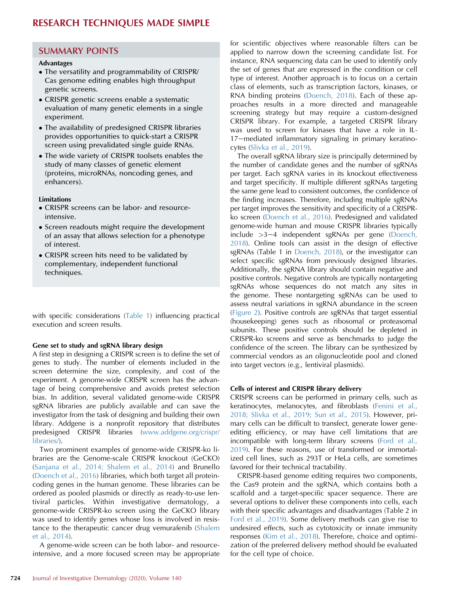## SUMMARY POINTS

#### Advantages

- The versatility and programmability of CRISPR/ Cas genome editing enables high throughput genetic screens.
- CRISPR genetic screens enable a systematic evaluation of many genetic elements in a single experiment.
- The availability of predesigned CRISPR libraries provides opportunities to quick-start a CRISPR screen using prevalidated single guide RNAs.
- The wide variety of CRISPR toolsets enables the study of many classes of genetic element (proteins, microRNAs, noncoding genes, and enhancers).

#### Limitations

- CRISPR screens can be labor- and resourceintensive.
- Screen readouts might require the development of an assay that allows selection for a phenotype of interest.
- CRISPR screen hits need to be validated by complementary, independent functional techniques.

with specific considerations ([Table 1](#page-3-1)) influencing practical execution and screen results.

#### Gene set to study and sgRNA library design

A first step in designing a CRISPR screen is to define the set of genes to study. The number of elements included in the screen determine the size, complexity, and cost of the experiment. A genome-wide CRISPR screen has the advantage of being comprehensive and avoids pretest selection bias. In addition, several validated genome-wide CRISPR sgRNA libraries are publicly available and can save the investigator from the task of designing and building their own library. Addgene is a nonprofit repository that distributes predesigned CRISPR libraries ([www.addgene.org/crispr/](http://www.addgene.org/crispr/libraries/) [libraries/\)](http://www.addgene.org/crispr/libraries/).

Two prominent examples of genome-wide CRISPR-ko libraries are the Genome-scale CRISPR knockout (GeCKO) ([Sanjana et al., 2014; Shalem et al., 2014](#page-5-3)) and Brunello ([Doench et al., 2016\)](#page-5-4) libraries, which both target all proteincoding genes in the human genome. These libraries can be ordered as pooled plasmids or directly as ready-to-use lentiviral particles. Within investigative dermatology, a genome-wide CRISPR-ko screen using the GeCKO library was used to identify genes whose loss is involved in resistance to the therapeutic cancer drug vemurafenib ([Shalem](#page-5-5) [et al., 2014\)](#page-5-5).

A genome-wide screen can be both labor- and resourceintensive, and a more focused screen may be appropriate for scientific objectives where reasonable filters can be applied to narrow down the screening candidate list. For instance, RNA sequencing data can be used to identify only the set of genes that are expressed in the condition or cell type of interest. Another approach is to focus on a certain class of elements, such as transcription factors, kinases, or RNA binding proteins ([Doench, 2018](#page-5-0)). Each of these approaches results in a more directed and manageable screening strategy but may require a custom-designed CRISPR library. For example, a targeted CRISPR library was used to screen for kinases that have a role in IL-17-mediated inflammatory signaling in primary keratinocytes ([Slivka et al., 2019](#page-5-6)).

The overall sgRNA library size is principally determined by the number of candidate genes and the number of sgRNAs per target. Each sgRNA varies in its knockout effectiveness and target specificity. If multiple different sgRNAs targeting the same gene lead to consistent outcomes, the confidence of the finding increases. Therefore, including multiple sgRNAs per target improves the sensitivity and specificity of a CRISPRko screen ([Doench et al., 2016\)](#page-5-4). Predesigned and validated genome-wide human and mouse CRISPR libraries typically include  $>3-4$  independent sgRNAs per gene [\(Doench,](#page-5-0) [2018\)](#page-5-0). Online tools can assist in the design of effective sgRNAs (Table 1 in [Doench, 2018\)](#page-5-0), or the investigator can select specific sgRNAs from previously designed libraries. Additionally, the sgRNA library should contain negative and positive controls. Negative controls are typically nontargeting sgRNAs whose sequences do not match any sites in the genome. These nontargeting sgRNAs can be used to assess neutral variations in sgRNA abundance in the screen ([Figure 2](#page-3-0)). Positive controls are sgRNAs that target essential (housekeeping) genes such as ribosomal or proteasomal subunits. These positive controls should be depleted in CRISPR-ko screens and serve as benchmarks to judge the confidence of the screen. The library can be synthesized by commercial vendors as an oligonucleotide pool and cloned into target vectors (e.g., lentiviral plasmids).

#### Cells of interest and CRISPR library delivery

CRISPR screens can be performed in primary cells, such as keratinocytes, melanocytes, and fibroblasts ([Fenini et al.,](#page-5-7) [2018; Slivka et al., 2019; Sun et al., 2015\)](#page-5-7). However, primary cells can be difficult to transfect, generate lower geneediting efficiency, or may have cell limitations that are incompatible with long-term library screens [\(Ford et al.,](#page-5-1) [2019\)](#page-5-1). For these reasons, use of transformed or immortalized cell lines, such as 293T or HeLa cells, are sometimes favored for their technical tractability.

CRISPR-based genome editing requires two components, the Cas9 protein and the sgRNA, which contains both a scaffold and a target-specific spacer sequence. There are several options to deliver these components into cells, each with their specific advantages and disadvantages (Table 2 in [Ford et al., 2019\)](#page-5-1). Some delivery methods can give rise to undesired effects, such as cytotoxicity or innate immunity responses ([Kim et al., 2018\)](#page-5-8). Therefore, choice and optimization of the preferred delivery method should be evaluated for the cell type of choice.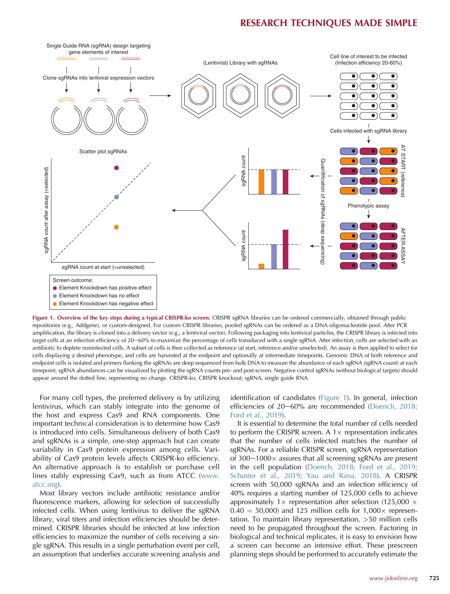<span id="page-2-0"></span>

Figure 1. Overview of the key steps during a typical CRISPR-ko screen. CRISPR sgRNA libraries can be ordered commercially, obtained through public repositories (e.g., Addgene), or custom-designed. For custom CRISPR libraries, pooled sgRNAs can be ordered as a DNA oligonucleotide pool. After PCR amplification, the library is cloned into a delivery vector (e.g., a lentiviral vector). Following packaging into lentiviral particles, the CRISPR library is infected into target cells at an infection efficiency of 20-60% to maximize the percentage of cells transduced with a single sgRNA. After infection, cells are selected with an antibiotic to deplete noninfected cells. A subset of cells is then collected as reference (at start, reference and/or unselected). An assay is then applied to select for cells displaying a desired phenotype, and cells are harvested at the endpoint and optionally at intermediate timepoints. Genomic DNA of both reference and endpoint cells is isolated and primers flanking the sgRNAs are deep sequenced from bulk DNA to measure the abundance of each sgRNA (sgRNA count) at each timepoint. sgRNA abundances can be visualized by plotting the sgRNA counts pre- and post-screen. Negative control sgRNAs (without biological targets) should appear around the dotted line, representing no change. CRISPR-ko, CRISPR knockout; sgRNA, single guide RNA.

For many cell types, the preferred delivery is by utilizing lentivirus, which can stably integrate into the genome of the host and express Cas9 and RNA components. One important technical consideration is to determine how Cas9 is introduced into cells. Simultaneous delivery of both Cas9 and sgRNAs is a simple, one-step approach but can create variability in Cas9 protein expression among cells. Variability of Cas9 protein levels affects CRISPR-ko efficiency. An alternative approach is to establish or purchase cell lines stably expressing Cas9, such as from ATCC [\(www.](http://www.atcc.org) [atcc.org](http://www.atcc.org)).

Most library vectors include antibiotic resistance and/or fluorescence markers, allowing for selection of successfully infected cells. When using lentivirus to deliver the sgRNA library, viral titers and infection efficiencies should be determined. CRISPR libraries should be infected at low infection efficiencies to maximize the number of cells receiving a single sgRNA. This results in a single perturbation event per cell, an assumption that underlies accurate screening analysis and identification of candidates [\(Figure 1\)](#page-2-0). In general, infection efficiencies of  $20-60%$  are recommended [\(Doench, 2018;](#page-5-0) [Ford et al., 2019](#page-5-0)).

It is essential to determine the total number of cells needed to perform the CRISPR screen. A  $1 \times$  representation indicates that the number of cells infected matches the number of sgRNAs. For a reliable CRISPR screen, sgRNA representation of  $300-1000\times$  assures that all screening sgRNAs are present in the cell population ([Doench, 2018; Ford et al., 2019;](#page-5-0) [Schuster et al., 2019; Yau and Rana, 2018](#page-5-0)). A CRISPR screen with 50,000 sgRNAs and an infection efficiency of 40% requires a starting number of 125,000 cells to achieve approximately 1 $\times$  representation after selection (125,000  $\times$  $0.40 = 50,000$  and 125 million cells for 1,000 x representation. To maintain library representation, >50 million cells need to be propagated throughout the screen. Factoring in biological and technical replicates, it is easy to envision how a screen can become an intensive effort. These prescreen planning steps should be performed to accurately estimate the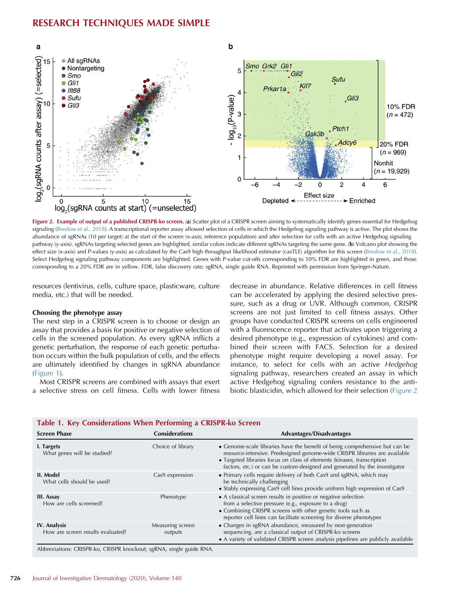<span id="page-3-0"></span>

Figure 2. Example of output of a published CRISPR-ko screen. (a) Scatter plot of a CRISPR screen aiming to systematically identify genes essential for Hedgehog signaling [\(Breslow et al., 2018](#page-5-9)). A transcriptional reporter assay allowed selection of cells in which the Hedgehog signaling pathway is active. The plot shows the abundance of sgRNAs (10 per target) at the start of the screen (x-axis; reference population) and after selection for cells with an active Hedgehog signaling pathway (y-axis). sgRNAs targeting selected genes are highlighted, similar colors indicate different sgRNAs targeting the same gene. (b) Volcano plot showing the effect size (x-axis) and P-values (y-axis) as calculated by the Cas9 high throughput likelihood estimator (casTLE) algorithm for this screen ([Breslow et al., 2018\)](#page-5-9). Select Hedgehog signaling pathway components are highlighted. Genes with P-value cut-offs corresponding to 10% FDR are highlighted in green, and those corresponding to a 20% FDR are in yellow. FDR, false discovery rate; sgRNA, single guide RNA. Reprinted with permission from Springer-Nature.

resources (lentivirus, cells, culture space, plasticware, culture media, etc.) that will be needed.

#### Choosing the phenotype assay

The next step in a CRISPR screen is to choose or design an assay that provides a basis for positive or negative selection of cells in the screened population. As every sgRNA inflicts a genetic perturbation, the response of each genetic perturbation occurs within the bulk population of cells, and the effects are ultimately identified by changes in sgRNA abundance [\(Figure 1\)](#page-2-0).

Most CRISPR screens are combined with assays that exert a selective stress on cell fitness. Cells with lower fitness decrease in abundance. Relative differences in cell fitness can be accelerated by applying the desired selective pressure, such as a drug or UVR. Although common, CRISPR screens are not just limited to cell fitness assays. Other groups have conducted CRISPR screens on cells engineered with a fluorescence reporter that activates upon triggering a desired phenotype (e.g., expression of cytokines) and combined their screen with FACS. Selection for a desired phenotype might require developing a novel assay. For instance, to select for cells with an active Hedgehog signaling pathway, researchers created an assay in which active Hedgehog signaling confers resistance to the antibiotic blasticidin, which allowed for their selection ([Figure 2](#page-3-0)

| <b>Screen Phase</b>                               | <b>Considerations</b>       | <b>Advantages/Disadvantages</b>                                                                                                                                                                                                                                                                                    |  |
|---------------------------------------------------|-----------------------------|--------------------------------------------------------------------------------------------------------------------------------------------------------------------------------------------------------------------------------------------------------------------------------------------------------------------|--|
| I. Targets<br>What genes will be studied?         | Choice of library           | • Genome-scale libraries have the benefit of being comprehensive but can be<br>resource-intensive. Predesigned genome-wide CRISPR libraries are available<br>• Targeted libraries focus on class of elements (kinases, transcription<br>factors, etc.) or can be custom-designed and generated by the investigator |  |
| II. Model<br>What cells should be used?           | Cas9 expression             | • Primary cells require delivery of both Cas9 and sgRNA, which may<br>be technically challenging<br>• Stably expressing Cas9 cell lines provide uniform high expression of Cas9                                                                                                                                    |  |
| III. Assay<br>How are cells screened?             | Phenotype                   | • A classical screen results in positive or negative selection<br>from a selective pressure (e.g., exposure to a drug)<br>• Combining CRISPR screens with other genetic tools such as<br>reporter cell lines can facilitate screening for diverse phenotypes                                                       |  |
| IV. Analysis<br>How are screen results evaluated? | Measuring screen<br>outputs | • Changes in sgRNA abundance, measured by next-generation<br>sequencing, are a classical output of CRISPR-ko screens<br>• A variety of validated CRISPR screen analysis pipelines are publicly available                                                                                                           |  |

### <span id="page-3-1"></span>Table 1. Key Considerations When Performing a CRISPR-ko Screen

Abbreviations: CRISPR-ko, CRISPR knockout; sgRNA, single guide RNA.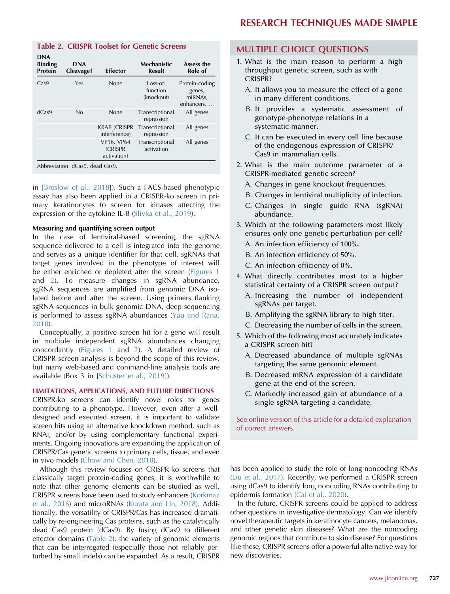### <span id="page-4-0"></span>Table 2. CRISPR Toolset for Genetic Screens

| <b>DNA</b><br><b>Binding</b><br><b>Protein</b> | <b>DNA</b><br>Cleavage?         | Effector                              | Mechanistic<br>Result                | Assess the<br>Role of                             |
|------------------------------------------------|---------------------------------|---------------------------------------|--------------------------------------|---------------------------------------------------|
| Cas9                                           | Yes                             | None                                  | $Loss-of-$<br>function<br>(knockout) | Protein-coding<br>genes,<br>miRNAs,<br>enhancers, |
| dCas9                                          | No                              | None                                  | Transcriptional<br>repression        | All genes                                         |
|                                                |                                 | <b>KRAB (CRISPR</b><br>interference)  | Transcriptional<br>repression        | All genes                                         |
|                                                |                                 | VP16, VP64<br>(CRISPR)<br>activation) | Transcriptional<br>activation        | All genes                                         |
|                                                | Abbreviation: dCas9, dead Cas9. |                                       |                                      |                                                   |

in [[Breslow et al., 2018\]](#page-5-9)). Such a FACS-based phenotypic assay has also been applied in a CRISPR-ko screen in primary keratinocytes to screen for kinases affecting the expression of the cytokine IL-8 ([Slivka et al., 2019](#page-5-6)).

#### Measuring and quantifying screen output

In the case of lentiviral-based screening, the sgRNA sequence delivered to a cell is integrated into the genome and serves as a unique identifier for that cell. sgRNAs that target genes involved in the phenotype of interest will be either enriched or depleted after the screen [\(Figures 1](#page-2-0) and [2\)](#page-3-0). To measure changes in sgRNA abundance, sgRNA sequences are amplified from genomic DNA isolated before and after the screen. Using primers flanking sgRNA sequences in bulk genomic DNA, deep sequencing is performed to assess sgRNA abundances ([Yau and Rana,](#page-5-10) [2018](#page-5-10)).

Conceptually, a positive screen hit for a gene will result in multiple independent sgRNA abundances changing concordantly ([Figures 1](#page-2-0) and [2](#page-3-0)). A detailed review of CRISPR screen analysis is beyond the scope of this review, but many web-based and command-line analysis tools are available (Box 3 in [\[Schuster et al., 2019](#page-5-11)]).

#### LIMITATIONS, APPLICATIONS, AND FUTURE DIRECTIONS

CRISPR-ko screens can identify novel roles for genes contributing to a phenotype. However, even after a welldesigned and executed screen, it is important to validate screen hits using an alternative knockdown method, such as RNAi, and/or by using complementary functional experiments. Ongoing innovations are expanding the application of CRISPR/Cas genetic screens to primary cells, tissue, and even in vivo models [\(Chow and Chen, 2018\)](#page-5-12).

Although this review focuses on CRISPR-ko screens that classically target protein-coding genes, it is worthwhile to note that other genome elements can be studied as well. CRISPR screens have been used to study enhancers [\(Korkmaz](#page-5-13) [et al., 2016](#page-5-13)) and microRNAs ([Kurata and Lin, 2018\)](#page-5-14). Additionally, the versatility of CRISPR/Cas has increased dramatically by re-engineering Cas proteins, such as the catalytically dead Cas9 protein (dCas9). By fusing dCas9 to different effector domains [\(Table 2\)](#page-4-0), the variety of genomic elements that can be interrogated (especially those not reliably perturbed by small indels) can be expanded. As a result, CRISPR

### MULTIPLE CHOICE QUESTIONS

- 1. What is the main reason to perform a high throughput genetic screen, such as with CRISPR?
	- A. It allows you to measure the effect of a gene in many different conditions.
	- B. It provides a systematic assessment of genotype-phenotype relations in a systematic manner.
	- C. It can be executed in every cell line because of the endogenous expression of CRISPR/ Cas9 in mammalian cells.
- 2. What is the main outcome parameter of a CRISPR-mediated genetic screen?
	- A. Changes in gene knockout frequencies.
	- B. Changes in lentiviral multiplicity of infection.
	- C. Changes in single guide RNA (sgRNA) abundance.
- 3. Which of the following parameters most likely ensures only one genetic perturbation per cell? A. An infection efficiency of 100%.
	- B. An infection efficiency of 50%.
	- C. An infection efficiency of 0%.
- 4. What directly contributes most to a higher statistical certainty of a CRISPR screen output?
	- A. Increasing the number of independent sgRNAs per target.
	- B. Amplifying the sgRNA library to high titer.
	- C. Decreasing the number of cells in the screen.
- 5. Which of the following most accurately indicates a CRISPR screen hit?
	- A. Decreased abundance of multiple sgRNAs targeting the same genomic element.
	- B. Decreased mRNA expression of a candidate gene at the end of the screen.
	- C. Markedly increased gain of abundance of a single sgRNA targeting a candidate.

See online version of this article for a detailed explanation of correct answers.

has been applied to study the role of long noncoding RNAs ([Liu et al., 2017\)](#page-5-15). Recently, we performed a CRISPR screen using dCas9 to identify long noncoding RNAs contributing to epidermis formation [\(Cai et al., 2020\)](#page-5-16).

In the future, CRISPR screens could be applied to address other questions in investigative dermatology. Can we identify novel therapeutic targets in keratinocyte cancers, melanomas, and other genetic skin diseases? What are the noncoding genomic regions that contribute to skin disease? For questions like these, CRISPR screens offer a powerful alternative way for new discoveries.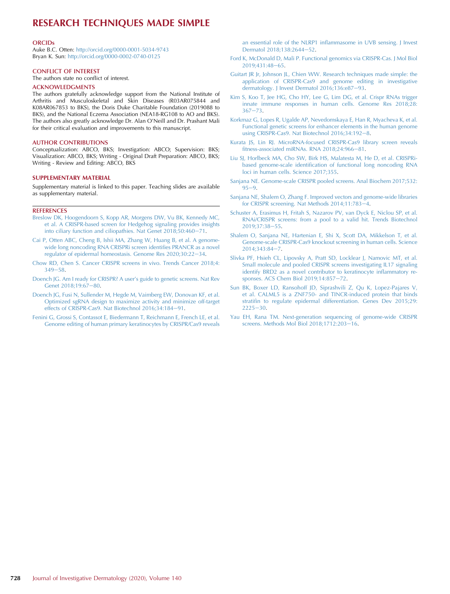#### **ORCIDs**

Auke B.C. Otten: <http://orcid.org/0000-0001-5034-9743> Bryan K. Sun: <http://orcid.org/0000-0002-0740-0125>

#### CONFLICT OF INTEREST

The authors state no conflict of interest.

#### ACKNOWLEDGMENTS

The authors gratefully acknowledge support from the National Institute of Arthritis and Musculoskeletal and Skin Diseases (R03AR075844 and K08AR067853 to BKS), the Doris Duke Charitable Foundation (2019088 to BKS), and the National Eczema Association (NEA18-RG108 to AO and BKS). The authors also greatly acknowledge Dr. Alan O'Neill and Dr. Prashant Mali for their critical evaluation and improvements to this manuscript.

#### AUTHOR CONTRIBUTIONS

Conceptualization: ABCO, BKS; Investigation: ABCO; Supervision: BKS; Visualization: ABCO, BKS; Writing - Original Draft Preparation: ABCO, BKS; Writing - Review and Editing: ABCO, BKS

#### SUPPLEMENTARY MATERIAL

Supplementary material is linked to this paper. Teaching slides are available as supplementary material.

#### **REFERENCES**

- <span id="page-5-9"></span>[Breslow DK, Hoogendoorn S, Kopp AR, Morgens DW, Vu BK, Kennedy MC,](http://refhub.elsevier.com/S0022-202X(20)30132-9/sref1) [et al. A CRISPR-based screen for Hedgehog signaling provides insights](http://refhub.elsevier.com/S0022-202X(20)30132-9/sref1) [into ciliary function and ciliopathies. Nat Genet 2018;50:460](http://refhub.elsevier.com/S0022-202X(20)30132-9/sref1)-[71](http://refhub.elsevier.com/S0022-202X(20)30132-9/sref1).
- <span id="page-5-16"></span>[Cai P, Otten ABC, Cheng B, Ishii MA, Zhang W, Huang B, et al. A genome](http://refhub.elsevier.com/S0022-202X(20)30132-9/sref2)[wide long noncoding RNA CRISPRi screen identi](http://refhub.elsevier.com/S0022-202X(20)30132-9/sref2)fies PRANCR as a novel [regulator of epidermal homeostasis. Genome Res 2020;30:22](http://refhub.elsevier.com/S0022-202X(20)30132-9/sref2)-[34.](http://refhub.elsevier.com/S0022-202X(20)30132-9/sref2)
- <span id="page-5-12"></span>[Chow RD, Chen S. Cancer CRISPR screens in vivo. Trends Cancer 2018;4:](http://refhub.elsevier.com/S0022-202X(20)30132-9/sref3)  $349 - 58$  $349 - 58$  $349 - 58$ .
- <span id="page-5-0"></span>[Doench JG. Am I ready for CRISPR? A user](http://refhub.elsevier.com/S0022-202X(20)30132-9/sref4)'s guide to genetic screens. Nat Rev [Genet 2018;19:67](http://refhub.elsevier.com/S0022-202X(20)30132-9/sref4)-[80.](http://refhub.elsevier.com/S0022-202X(20)30132-9/sref4)
- <span id="page-5-4"></span>[Doench JG, Fusi N, Sullender M, Hegde M, Vaimberg EW, Donovan KF, et al.](http://refhub.elsevier.com/S0022-202X(20)30132-9/sref5) [Optimized sgRNA design to maximize activity and minimize off-target](http://refhub.elsevier.com/S0022-202X(20)30132-9/sref5) [effects of CRISPR-Cas9. Nat Biotechnol 2016;34:184](http://refhub.elsevier.com/S0022-202X(20)30132-9/sref5)-[91.](http://refhub.elsevier.com/S0022-202X(20)30132-9/sref5)
- <span id="page-5-7"></span>[Fenini G, Grossi S, Contassot E, Biedermann T, Reichmann E, French LE, et al.](http://refhub.elsevier.com/S0022-202X(20)30132-9/sref6) [Genome editing of human primary keratinocytes by CRISPR/Cas9 reveals](http://refhub.elsevier.com/S0022-202X(20)30132-9/sref6)

an essential role of the NLRP1 infl[ammasome in UVB sensing. J Invest](http://refhub.elsevier.com/S0022-202X(20)30132-9/sref6) [Dermatol 2018;138:2644](http://refhub.elsevier.com/S0022-202X(20)30132-9/sref6)-[52.](http://refhub.elsevier.com/S0022-202X(20)30132-9/sref6)

- <span id="page-5-1"></span>[Ford K, McDonald D, Mali P. Functional genomics via CRISPR-Cas. J Mol Biol](http://refhub.elsevier.com/S0022-202X(20)30132-9/sref7) 2019:431:48-[65.](http://refhub.elsevier.com/S0022-202X(20)30132-9/sref7)
- <span id="page-5-2"></span>[Guitart JR Jr, Johnson JL, Chien WW. Research techniques made simple: the](http://refhub.elsevier.com/S0022-202X(20)30132-9/sref8) [application of CRISPR-Cas9 and genome editing in investigative](http://refhub.elsevier.com/S0022-202X(20)30132-9/sref8) [dermatology. J Invest Dermatol 2016;136:e87](http://refhub.elsevier.com/S0022-202X(20)30132-9/sref8)-[93](http://refhub.elsevier.com/S0022-202X(20)30132-9/sref8).
- <span id="page-5-8"></span>[Kim S, Koo T, Jee HG, Cho HY, Lee G, Lim DG, et al. Crispr RNAs trigger](http://refhub.elsevier.com/S0022-202X(20)30132-9/sref9) [innate immune responses in human cells. Genome Res 2018;28:](http://refhub.elsevier.com/S0022-202X(20)30132-9/sref9)  $367 - 73.$  $367 - 73.$  $367 - 73.$  $367 - 73.$
- <span id="page-5-13"></span>[Korkmaz G, Lopes R, Ugalde AP, Nevedomskaya E, Han R, Myacheva K, et al.](http://refhub.elsevier.com/S0022-202X(20)30132-9/sref10) [Functional genetic screens for enhancer elements in the human genome](http://refhub.elsevier.com/S0022-202X(20)30132-9/sref10) [using CRISPR-Cas9. Nat Biotechnol 2016;34:192](http://refhub.elsevier.com/S0022-202X(20)30132-9/sref10)-[8.](http://refhub.elsevier.com/S0022-202X(20)30132-9/sref10)
- <span id="page-5-14"></span>[Kurata JS, Lin RJ. MicroRNA-focused CRISPR-Cas9 library screen reveals](http://refhub.elsevier.com/S0022-202X(20)30132-9/sref11) fitness-associated miRNAs. RNA  $2018;24:966-81$  $2018;24:966-81$ .
- <span id="page-5-15"></span>[Liu SJ, Horlbeck MA, Cho SW, Birk HS, Malatesta M, He D, et al. CRISPRi](http://refhub.elsevier.com/S0022-202X(20)30132-9/sref12)based genome-scale identifi[cation of functional long noncoding RNA](http://refhub.elsevier.com/S0022-202X(20)30132-9/sref12) [loci in human cells. Science 2017;355.](http://refhub.elsevier.com/S0022-202X(20)30132-9/sref12)
- [Sanjana NE. Genome-scale CRISPR pooled screens. Anal Biochem 2017;532:](http://refhub.elsevier.com/S0022-202X(20)30132-9/sref13)  $95 - 9.$  $95 - 9.$  $95 - 9.$
- <span id="page-5-3"></span>[Sanjana NE, Shalem O, Zhang F. Improved vectors and genome-wide libraries](http://refhub.elsevier.com/S0022-202X(20)30132-9/sref14) [for CRISPR screening. Nat Methods 2014;11:783](http://refhub.elsevier.com/S0022-202X(20)30132-9/sref14)-[4](http://refhub.elsevier.com/S0022-202X(20)30132-9/sref14).
- <span id="page-5-11"></span>[Schuster A, Erasimus H, Fritah S, Nazarov PV, van Dyck E, Niclou SP, et al.](http://refhub.elsevier.com/S0022-202X(20)30132-9/sref15) [RNAi/CRISPR screens: from a pool to a valid hit. Trends Biotechnol](http://refhub.elsevier.com/S0022-202X(20)30132-9/sref15) 2019:37:38-[55.](http://refhub.elsevier.com/S0022-202X(20)30132-9/sref15)
- <span id="page-5-5"></span>[Shalem O, Sanjana NE, Hartenian E, Shi X, Scott DA, Mikkelson T, et al.](http://refhub.elsevier.com/S0022-202X(20)30132-9/sref16) [Genome-scale CRISPR-Cas9 knockout screening in human cells. Science](http://refhub.elsevier.com/S0022-202X(20)30132-9/sref16) 2014:343:84-[7.](http://refhub.elsevier.com/S0022-202X(20)30132-9/sref16)
- <span id="page-5-6"></span>[Slivka PF, Hsieh CL, Lipovsky A, Pratt SD, Locklear J, Namovic MT, et al.](http://refhub.elsevier.com/S0022-202X(20)30132-9/sref17) [Small molecule and pooled CRISPR screens investigating IL17 signaling](http://refhub.elsevier.com/S0022-202X(20)30132-9/sref17) [identify BRD2 as a novel contributor to keratinocyte in](http://refhub.elsevier.com/S0022-202X(20)30132-9/sref17)flammatory re[sponses. ACS Chem Biol 2019;14:857](http://refhub.elsevier.com/S0022-202X(20)30132-9/sref17)-[72](http://refhub.elsevier.com/S0022-202X(20)30132-9/sref17).
- [Sun BK, Boxer LD, Ransohoff JD, Siprashvili Z, Qu K, Lopez-Pajares V,](http://refhub.elsevier.com/S0022-202X(20)30132-9/sref18) [et al. CALML5 is a ZNF750- and TINCR-induced protein that binds](http://refhub.elsevier.com/S0022-202X(20)30132-9/sref18) stratifi[n to regulate epidermal differentiation. Genes Dev 2015;29:](http://refhub.elsevier.com/S0022-202X(20)30132-9/sref18)  $2225 - 30.$  $2225 - 30.$  $2225 - 30.$
- <span id="page-5-10"></span>[Yau EH, Rana TM. Next-generation sequencing of genome-wide CRISPR](http://refhub.elsevier.com/S0022-202X(20)30132-9/sref19) [screens. Methods Mol Biol 2018;1712:203](http://refhub.elsevier.com/S0022-202X(20)30132-9/sref19)-[16.](http://refhub.elsevier.com/S0022-202X(20)30132-9/sref19)